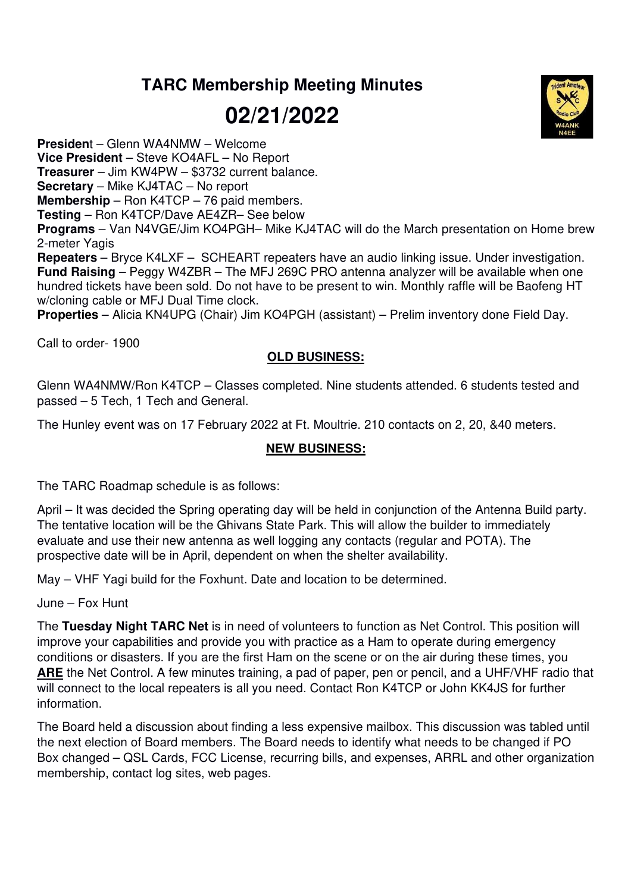## **TARC Membership Meeting Minutes**

**02/21/2022** 



**Presiden**t – Glenn WA4NMW – Welcome

**Vice President** – Steve KO4AFL – No Report

**Treasurer** – Jim KW4PW – \$3732 current balance.

**Secretary** – Mike KJ4TAC – No report

**Membership** – Ron K4TCP – 76 paid members.

**Testing** – Ron K4TCP/Dave AE4ZR– See below

**Programs** – Van N4VGE/Jim KO4PGH– Mike KJ4TAC will do the March presentation on Home brew 2-meter Yagis

**Repeaters** – Bryce K4LXF – SCHEART repeaters have an audio linking issue. Under investigation. **Fund Raising** – Peggy W4ZBR – The MFJ 269C PRO antenna analyzer will be available when one hundred tickets have been sold. Do not have to be present to win. Monthly raffle will be Baofeng HT w/cloning cable or MFJ Dual Time clock.

**Properties** – Alicia KN4UPG (Chair) Jim KO4PGH (assistant) – Prelim inventory done Field Day.

Call to order- 1900

## **OLD BUSINESS:**

Glenn WA4NMW/Ron K4TCP – Classes completed. Nine students attended. 6 students tested and passed – 5 Tech, 1 Tech and General.

The Hunley event was on 17 February 2022 at Ft. Moultrie. 210 contacts on 2, 20, &40 meters.

## **NEW BUSINESS:**

The TARC Roadmap schedule is as follows:

April – It was decided the Spring operating day will be held in conjunction of the Antenna Build party. The tentative location will be the Ghivans State Park. This will allow the builder to immediately evaluate and use their new antenna as well logging any contacts (regular and POTA). The prospective date will be in April, dependent on when the shelter availability.

May – VHF Yagi build for the Foxhunt. Date and location to be determined.

June – Fox Hunt

The **Tuesday Night TARC Net** is in need of volunteers to function as Net Control. This position will improve your capabilities and provide you with practice as a Ham to operate during emergency conditions or disasters. If you are the first Ham on the scene or on the air during these times, you **ARE** the Net Control. A few minutes training, a pad of paper, pen or pencil, and a UHF/VHF radio that will connect to the local repeaters is all you need. Contact Ron K4TCP or John KK4JS for further information.

The Board held a discussion about finding a less expensive mailbox. This discussion was tabled until the next election of Board members. The Board needs to identify what needs to be changed if PO Box changed – QSL Cards, FCC License, recurring bills, and expenses, ARRL and other organization membership, contact log sites, web pages.